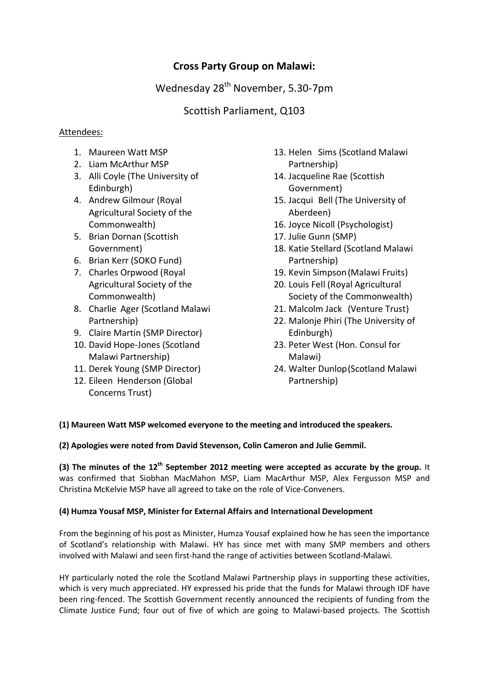# **Cross Party Group on Malawi:**

Wednesday 28<sup>th</sup> November, 5.30-7pm

# Scottish Parliament, Q103

## Attendees:

- 1. Maureen Watt MSP
- 2. Liam McArthur MSP
- 3. Alli Coyle (The University of Edinburgh)
- 4. Andrew Gilmour (Royal Agricultural Society of the Commonwealth)
- 5. Brian Dornan (Scottish Government)
- 6. Brian Kerr (SOKO Fund)
- 7. Charles Orpwood (Royal Agricultural Society of the Commonwealth)
- 8. Charlie Ager (Scotland Malawi Partnership)
- 9. Claire Martin (SMP Director)
- 10. David Hope-Jones (Scotland Malawi Partnership)
- 11. Derek Young (SMP Director)
- 12. Eileen Henderson (Global Concerns Trust)
- 13. Helen Sims (Scotland Malawi Partnership)
- 14. Jacqueline Rae (Scottish Government)
- 15. Jacqui Bell (The University of Aberdeen)
- 16. Joyce Nicoll (Psychologist)
- 17. Julie Gunn (SMP)
- 18. Katie Stellard (Scotland Malawi Partnership)
- 19. Kevin Simpson(Malawi Fruits)
- 20. Louis Fell (Royal Agricultural Society of the Commonwealth)
- 21. Malcolm Jack (Venture Trust)
- 22. Malonje Phiri (The University of Edinburgh)
- 23. Peter West (Hon. Consul for Malawi)
- 24. Walter Dunlop(Scotland Malawi Partnership)

### **(1) Maureen Watt MSP welcomed everyone to the meeting and introduced the speakers.**

**(2) Apologies were noted from David Stevenson, Colin Cameron and Julie Gemmil.** 

**(3) The minutes of the 12th September 2012 meeting were accepted as accurate by the group.** It was confirmed that Siobhan MacMahon MSP, Liam MacArthur MSP, Alex Fergusson MSP and Christina McKelvie MSP have all agreed to take on the role of Vice-Conveners.

### **(4) Humza Yousaf MSP, Minister for External Affairs and International Development**

From the beginning of his post as Minister, Humza Yousaf explained how he has seen the importance of Scotland's relationship with Malawi. HY has since met with many SMP members and others involved with Malawi and seen first-hand the range of activities between Scotland-Malawi.

HY particularly noted the role the Scotland Malawi Partnership plays in supporting these activities, which is very much appreciated. HY expressed his pride that the funds for Malawi through IDF have been ring-fenced. The Scottish Government recently announced the recipients of funding from the Climate Justice Fund; four out of five of which are going to Malawi-based projects. The Scottish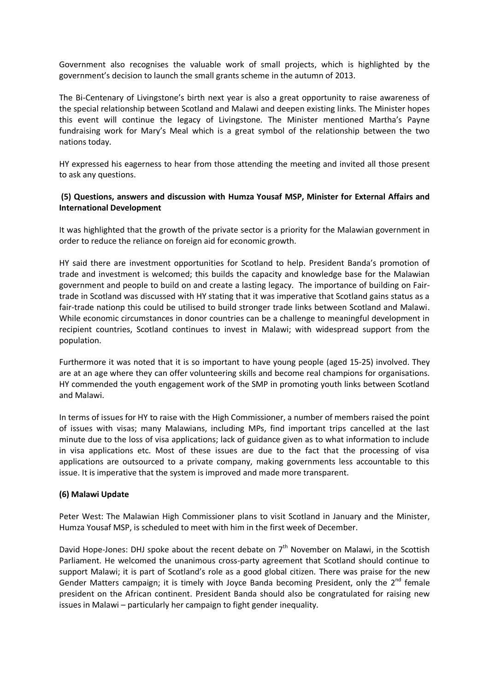Government also recognises the valuable work of small projects, which is highlighted by the government's decision to launch the small grants scheme in the autumn of 2013.

The Bi-Centenary of Livingstone's birth next year is also a great opportunity to raise awareness of the special relationship between Scotland and Malawi and deepen existing links. The Minister hopes this event will continue the legacy of Livingstone. The Minister mentioned Martha's Payne fundraising work for Mary's Meal which is a great symbol of the relationship between the two nations today.

HY expressed his eagerness to hear from those attending the meeting and invited all those present to ask any questions.

### **(5) Questions, answers and discussion with Humza Yousaf MSP, Minister for External Affairs and International Development**

It was highlighted that the growth of the private sector is a priority for the Malawian government in order to reduce the reliance on foreign aid for economic growth.

HY said there are investment opportunities for Scotland to help. President Banda's promotion of trade and investment is welcomed; this builds the capacity and knowledge base for the Malawian government and people to build on and create a lasting legacy. The importance of building on Fairtrade in Scotland was discussed with HY stating that it was imperative that Scotland gains status as a fair-trade nationp this could be utilised to build stronger trade links between Scotland and Malawi. While economic circumstances in donor countries can be a challenge to meaningful development in recipient countries, Scotland continues to invest in Malawi; with widespread support from the population.

Furthermore it was noted that it is so important to have young people (aged 15-25) involved. They are at an age where they can offer volunteering skills and become real champions for organisations. HY commended the youth engagement work of the SMP in promoting youth links between Scotland and Malawi.

In terms of issues for HY to raise with the High Commissioner, a number of members raised the point of issues with visas; many Malawians, including MPs, find important trips cancelled at the last minute due to the loss of visa applications; lack of guidance given as to what information to include in visa applications etc. Most of these issues are due to the fact that the processing of visa applications are outsourced to a private company, making governments less accountable to this issue. It is imperative that the system is improved and made more transparent.

### **(6) Malawi Update**

Peter West: The Malawian High Commissioner plans to visit Scotland in January and the Minister, Humza Yousaf MSP, is scheduled to meet with him in the first week of December.

David Hope-Jones: DHJ spoke about the recent debate on 7<sup>th</sup> November on Malawi, in the Scottish Parliament. He welcomed the unanimous cross-party agreement that Scotland should continue to support Malawi; it is part of Scotland's role as a good global citizen. There was praise for the new Gender Matters campaign; it is timely with Joyce Banda becoming President, only the  $2^{nd}$  female president on the African continent. President Banda should also be congratulated for raising new issues in Malawi – particularly her campaign to fight gender inequality.